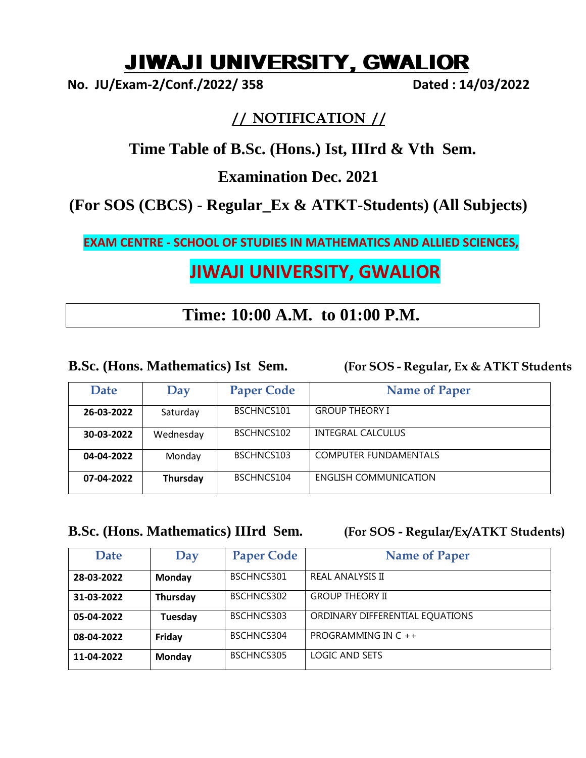# JIWAJI UNIVERSITY, GWALIOR

**No. JU/Exam-2/Conf./2022/ 358 Dated : 14/03/2022**

## **/ / NOTIFICATION / /**

## **Time Table of B.Sc. (Hons.) Ist, IIIrd & Vth Sem.**

## **Examination Dec. 2021**

## **(For SOS (CBCS) - Regular\_Ex & ATKT-Students) (All Subjects)**

**EXAM CENTRE - SCHOOL OF STUDIES IN MATHEMATICS AND ALLIED SCIENCES,** 

## **JIWAJI UNIVERSITY, GWALIOR**

## **Time: 10:00 A.M. to 01:00 P.M.**

### **B.Sc. (Hons. Mathematics) Ist Sem. (For SOS - Regular, Ex & ATKT Students**

| Date       | Day       | <b>Paper Code</b> | <b>Name of Paper</b>         |
|------------|-----------|-------------------|------------------------------|
| 26-03-2022 | Saturday  | BSCHNCS101        | <b>GROUP THEORY I</b>        |
| 30-03-2022 | Wednesday | BSCHNCS102        | <b>INTEGRAL CALCULUS</b>     |
| 04-04-2022 | Monday    | BSCHNCS103        | <b>COMPUTER FUNDAMENTALS</b> |
| 07-04-2022 | Thursday  | BSCHNCS104        | ENGLISH COMMUNICATION        |

### **B.Sc. (Hons. Mathematics) IIIrd Sem. (For SOS - Regular/Ex/ATKT Students)**

| <b>Date</b> | Day      | <b>Paper Code</b> | <b>Name of Paper</b>            |
|-------------|----------|-------------------|---------------------------------|
| 28-03-2022  | Monday   | BSCHNCS301        | <b>REAL ANALYSIS II</b>         |
| 31-03-2022  | Thursday | BSCHNCS302        | <b>GROUP THEORY II</b>          |
| 05-04-2022  | Tuesday  | BSCHNCS303        | ORDINARY DIFFERENTIAL EQUATIONS |
| 08-04-2022  | Friday   | BSCHNCS304        | PROGRAMMING IN C ++             |
| 11-04-2022  | Monday   | BSCHNCS305        | LOGIC AND SETS                  |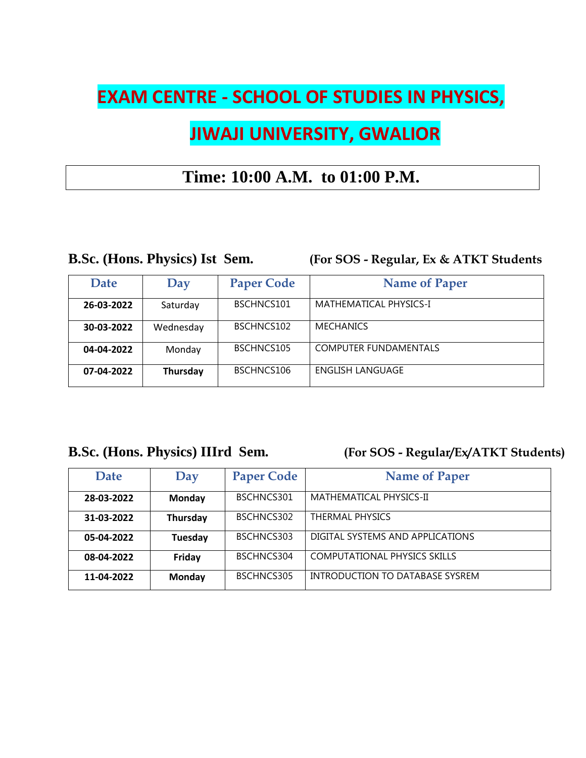# **EXAM CENTRE - SCHOOL OF STUDIES IN PHYSICS,**

# **JIWAJI UNIVERSITY, GWALIOR**

## **Time: 10:00 A.M. to 01:00 P.M.**

**B.Sc. (Hons. Physics) Ist Sem. (For SOS - Regular, Ex & ATKT Students**

| Date       | Day       | <b>Paper Code</b> | <b>Name of Paper</b>         |
|------------|-----------|-------------------|------------------------------|
| 26-03-2022 | Saturday  | BSCHNCS101        | MATHEMATICAL PHYSICS-I       |
| 30-03-2022 | Wednesday | BSCHNCS102        | <b>MECHANICS</b>             |
| 04-04-2022 | Monday    | BSCHNCS105        | <b>COMPUTER FUNDAMENTALS</b> |
| 07-04-2022 | Thursday  | BSCHNCS106        | <b>ENGLISH LANGUAGE</b>      |

## **B.Sc. (Hons. Physics) IIIrd Sem. (For SOS - Regular/Ex/ATKT Students)**

| Date       | Day      | <b>Paper Code</b> | <b>Name of Paper</b>                |
|------------|----------|-------------------|-------------------------------------|
| 28-03-2022 | Monday   | BSCHNCS301        | MATHEMATICAL PHYSICS-II             |
| 31-03-2022 | Thursday | BSCHNCS302        | <b>THERMAL PHYSICS</b>              |
| 05-04-2022 | Tuesday  | BSCHNCS303        | DIGITAL SYSTEMS AND APPLICATIONS    |
| 08-04-2022 | Friday   | BSCHNCS304        | <b>COMPUTATIONAL PHYSICS SKILLS</b> |
| 11-04-2022 | Monday   | BSCHNCS305        | INTRODUCTION TO DATABASE SYSREM     |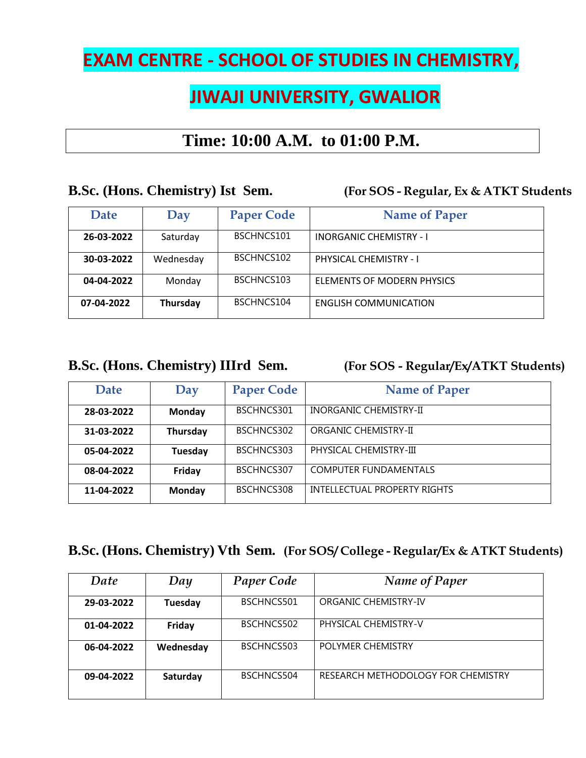# **EXAM CENTRE - SCHOOL OF STUDIES IN CHEMISTRY,**

# **JIWAJI UNIVERSITY, GWALIOR**

## **Time: 10:00 A.M. to 01:00 P.M.**

### **B.Sc. (Hons. Chemistry) Ist Sem. (For SOS - Regular, Ex & ATKT Students**

| <b>Date</b> | Day       | <b>Paper Code</b> | <b>Name of Paper</b>           |
|-------------|-----------|-------------------|--------------------------------|
| 26-03-2022  | Saturday  | BSCHNCS101        | <b>INORGANIC CHEMISTRY - I</b> |
| 30-03-2022  | Wednesday | BSCHNCS102        | PHYSICAL CHEMISTRY - I         |
| 04-04-2022  | Monday    | BSCHNCS103        | ELEMENTS OF MODERN PHYSICS     |
| 07-04-2022  | Thursday  | BSCHNCS104        | <b>ENGLISH COMMUNICATION</b>   |

## **B.Sc. (Hons. Chemistry) IIIrd Sem. (For SOS - Regular/Ex/ATKT Students)**

| <b>Date</b> | Day      | <b>Paper Code</b> | <b>Name of Paper</b>         |
|-------------|----------|-------------------|------------------------------|
| 28-03-2022  | Monday   | BSCHNCS301        | INORGANIC CHEMISTRY-II       |
| 31-03-2022  | Thursday | BSCHNCS302        | ORGANIC CHEMISTRY-II         |
| 05-04-2022  | Tuesday  | BSCHNCS303        | PHYSICAL CHEMISTRY-III       |
| 08-04-2022  | Friday   | BSCHNCS307        | <b>COMPUTER FUNDAMENTALS</b> |
| 11-04-2022  | Monday   | BSCHNCS308        | INTELLECTUAL PROPERTY RIGHTS |

## **B.Sc. (Hons. Chemistry) Vth Sem. (For SOS/ College - Regular/Ex & ATKT Students)**

| Date       | Day       | <b>Paper Code</b> | Name of Paper                      |
|------------|-----------|-------------------|------------------------------------|
| 29-03-2022 | Tuesday   | BSCHNCS501        | ORGANIC CHEMISTRY-IV               |
| 01-04-2022 | Friday    | BSCHNCS502        | PHYSICAL CHEMISTRY-V               |
| 06-04-2022 | Wednesday | BSCHNCS503        | POLYMER CHEMISTRY                  |
| 09-04-2022 | Saturday  | BSCHNCS504        | RESEARCH METHODOLOGY FOR CHEMISTRY |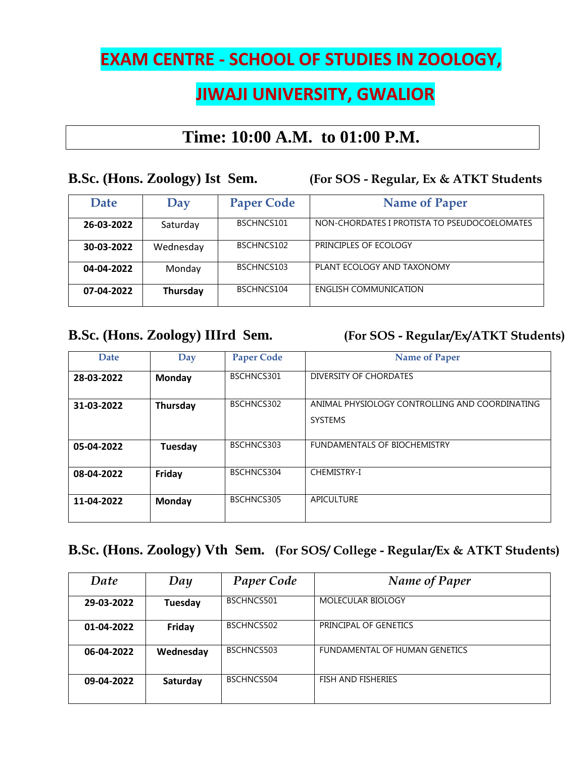# **EXAM CENTRE - SCHOOL OF STUDIES IN ZOOLOGY,**

## **JIWAJI UNIVERSITY, GWALIOR**

## **Time: 10:00 A.M. to 01:00 P.M.**

**B.Sc. (Hons. Zoology) Ist Sem. (For SOS - Regular, Ex & ATKT Students Date** Day Paper Code **Name of Paper 26-03-2022** Saturday BSCHNCS101 NON-CHORDATES I PROTISTA TO PSEUDOCOELOMATES **30-03-2022** Wednesday BSCHNCS102 PRINCIPLES OF ECOLOGY **04-04-2022** Monday BSCHNCS103 PLANT ECOLOGY AND TAXONOMY **07-04-2022 Thursday** BSCHNCS104 ENGLISH COMMUNICATION

**B.Sc. (Hons. Zoology) IIIrd Sem. (For SOS - Regular/Ex/ATKT Students)**

| <b>Date</b> | Day      | <b>Paper Code</b> | <b>Name of Paper</b>                                             |
|-------------|----------|-------------------|------------------------------------------------------------------|
| 28-03-2022  | Monday   | BSCHNCS301        | DIVERSITY OF CHORDATES                                           |
| 31-03-2022  | Thursday | BSCHNCS302        | ANIMAL PHYSIOLOGY CONTROLLING AND COORDINATING<br><b>SYSTEMS</b> |
| 05-04-2022  | Tuesday  | BSCHNCS303        | FUNDAMENTALS OF BIOCHEMISTRY                                     |
| 08-04-2022  | Friday   | BSCHNCS304        | <b>CHEMISTRY-I</b>                                               |
| 11-04-2022  | Monday   | BSCHNCS305        | APICULTURE                                                       |

## **B.Sc. (Hons. Zoology) Vth Sem. (For SOS/ College - Regular/Ex & ATKT Students)**

| Date       | Day       | <b>Paper Code</b> | Name of Paper                 |
|------------|-----------|-------------------|-------------------------------|
| 29-03-2022 | Tuesday   | BSCHNCS501        | MOLECULAR BIOLOGY             |
| 01-04-2022 | Friday    | BSCHNCS502        | PRINCIPAL OF GENETICS         |
| 06-04-2022 | Wednesday | BSCHNCS503        | FUNDAMENTAL OF HUMAN GENETICS |
| 09-04-2022 | Saturday  | BSCHNCS504        | <b>FISH AND FISHERIES</b>     |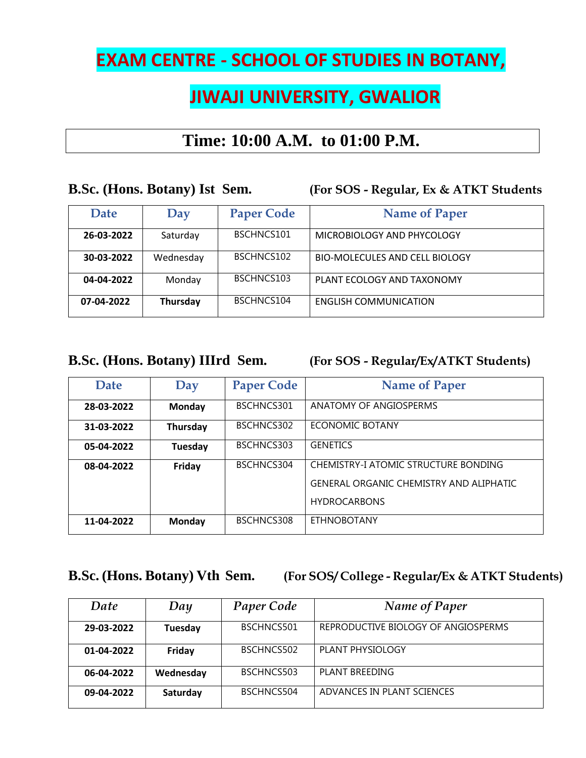# **EXAM CENTRE - SCHOOL OF STUDIES IN BOTANY,**

# **JIWAJI UNIVERSITY, GWALIOR**

## **Time: 10:00 A.M. to 01:00 P.M.**

**B.Sc. (Hons. Botany) Ist Sem. (For SOS - Regular, Ex & ATKT Students**

| Date       | Day       | <b>Paper Code</b> | <b>Name of Paper</b>           |
|------------|-----------|-------------------|--------------------------------|
| 26-03-2022 | Saturday  | BSCHNCS101        | MICROBIOLOGY AND PHYCOLOGY     |
| 30-03-2022 | Wednesday | BSCHNCS102        | BIO-MOLECULES AND CELL BIOLOGY |
| 04-04-2022 | Monday    | BSCHNCS103        | PLANT ECOLOGY AND TAXONOMY     |
| 07-04-2022 | Thursday  | BSCHNCS104        | <b>ENGLISH COMMUNICATION</b>   |

**B.Sc. (Hons. Botany) IIIrd Sem. (For SOS - Regular/Ex/ATKT Students)**

| <b>Date</b> | Day           | <b>Paper Code</b> | <b>Name of Paper</b>                                                                                   |
|-------------|---------------|-------------------|--------------------------------------------------------------------------------------------------------|
| 28-03-2022  | <b>Monday</b> | BSCHNCS301        | ANATOMY OF ANGIOSPERMS                                                                                 |
| 31-03-2022  | Thursday      | BSCHNCS302        | ECONOMIC BOTANY                                                                                        |
| 05-04-2022  | Tuesday       | BSCHNCS303        | <b>GENETICS</b>                                                                                        |
| 08-04-2022  | Friday        | BSCHNCS304        | CHEMISTRY-I ATOMIC STRUCTURE BONDING<br>GENERAL ORGANIC CHEMISTRY AND ALIPHATIC<br><b>HYDROCARBONS</b> |
| 11-04-2022  | Monday        | BSCHNCS308        | <b>ETHNOBOTANY</b>                                                                                     |

### **B.Sc. (Hons. Botany) Vth Sem. (For SOS/ College - Regular/Ex & ATKT Students)**

| Date       | Day       | <b>Paper Code</b> | Name of Paper                       |
|------------|-----------|-------------------|-------------------------------------|
| 29-03-2022 | Tuesday   | BSCHNCS501        | REPRODUCTIVE BIOLOGY OF ANGIOSPERMS |
| 01-04-2022 | Friday    | BSCHNCS502        | PLANT PHYSIOLOGY                    |
| 06-04-2022 | Wednesday | BSCHNCS503        | PLANT BREEDING                      |
| 09-04-2022 | Saturday  | BSCHNCS504        | ADVANCES IN PLANT SCIENCES          |